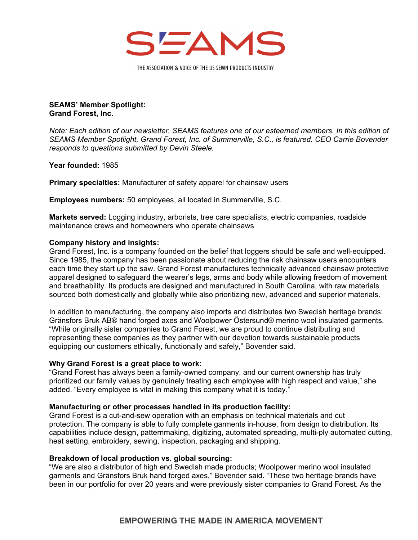

THE ASSOCIATION & VOICE OF THE US SEWN PRODUCTS INDUSTRY

## **SEAMS' Member Spotlight: Grand Forest, Inc.**

*Note: Each edition of our newsletter, SEAMS features one of our esteemed members. In this edition of SEAMS Member Spotlight, Grand Forest, Inc. of Summerville, S.C., is featured. CEO Carrie Bovender responds to questions submitted by Devin Steele.* 

**Year founded:** 1985

**Primary specialties:** Manufacturer of safety apparel for chainsaw users

**Employees numbers:** 50 employees, all located in Summerville, S.C.

**Markets served:** Logging industry, arborists, tree care specialists, electric companies, roadside maintenance crews and homeowners who operate chainsaws

# **Company history and insights:**

Grand Forest, Inc. is a company founded on the belief that loggers should be safe and well-equipped. Since 1985, the company has been passionate about reducing the risk chainsaw users encounters each time they start up the saw. Grand Forest manufactures technically advanced chainsaw protective apparel designed to safeguard the wearer's legs, arms and body while allowing freedom of movement and breathability. Its products are designed and manufactured in South Carolina, with raw materials sourced both domestically and globally while also prioritizing new, advanced and superior materials.

In addition to manufacturing, the company also imports and distributes two Swedish heritage brands: Gränsfors Bruk AB® hand forged axes and Woolpower Östersund® merino wool insulated garments. "While originally sister companies to Grand Forest, we are proud to continue distributing and representing these companies as they partner with our devotion towards sustainable products equipping our customers ethically, functionally and safely," Bovender said.

### **Why Grand Forest is a great place to work:**

"Grand Forest has always been a family-owned company, and our current ownership has truly prioritized our family values by genuinely treating each employee with high respect and value," she added. "Every employee is vital in making this company what it is today."

# **Manufacturing or other processes handled in its production facility:**

Grand Forest is a cut-and-sew operation with an emphasis on technical materials and cut protection. The company is able to fully complete garments in-house, from design to distribution. Its capabilities include design, patternmaking, digitizing, automated spreading, multi-ply automated cutting, heat setting, embroidery, sewing, inspection, packaging and shipping.

# **Breakdown of local production vs. global sourcing:**

"We are also a distributor of high end Swedish made products; Woolpower merino wool insulated garments and Gränsfors Bruk hand forged axes," Bovender said. "These two heritage brands have been in our portfolio for over 20 years and were previously sister companies to Grand Forest. As the